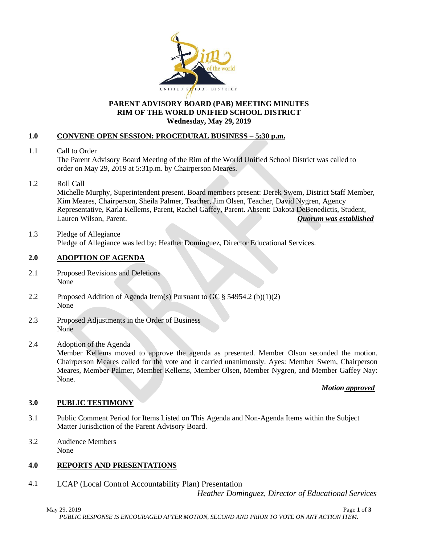

#### **PARENT ADVISORY BOARD (PAB) MEETING MINUTES RIM OF THE WORLD UNIFIED SCHOOL DISTRICT Wednesday, May 29, 2019**

## **1.0 CONVENE OPEN SESSION: PROCEDURAL BUSINESS – 5:30 p.m.**

- 1.1 Call to Order The Parent Advisory Board Meeting of the Rim of the World Unified School District was called to order on May 29, 2019 at 5:31p.m. by Chairperson Meares.
- 1.2 Roll Call

Michelle Murphy, Superintendent present. Board members present: Derek Swem, District Staff Member, Kim Meares, Chairperson, Sheila Palmer, Teacher, Jim Olsen, Teacher, David Nygren, Agency Representative, Karla Kellems, Parent, Rachel Gaffey, Parent. Absent: Dakota DeBenedictis, Student, Lauren Wilson, Parent. *Quorum was established*

1.3 Pledge of Allegiance Pledge of Allegiance was led by: Heather Dominguez, Director Educational Services.

## **2.0 ADOPTION OF AGENDA**

- 2.1 Proposed Revisions and Deletions None
- 2.2 Proposed Addition of Agenda Item(s) Pursuant to GC § 54954.2 (b)(1)(2) None
- 2.3 Proposed Adjustments in the Order of Business None
- 2.4 Adoption of the Agenda

Member Kellems moved to approve the agenda as presented. Member Olson seconded the motion. Chairperson Meares called for the vote and it carried unanimously. Ayes: Member Swem, Chairperson Meares, Member Palmer, Member Kellems, Member Olsen, Member Nygren, and Member Gaffey Nay: None.

## *Motion approved*

## **3.0 PUBLIC TESTIMONY**

- 3.1 Public Comment Period for Items Listed on This Agenda and Non-Agenda Items within the Subject Matter Jurisdiction of the Parent Advisory Board.
- 3.2 Audience Members None

# **4.0 REPORTS AND PRESENTATIONS**

4.1 LCAP (Local Control Accountability Plan) Presentation

 *Heather Dominguez, Director of Educational Services*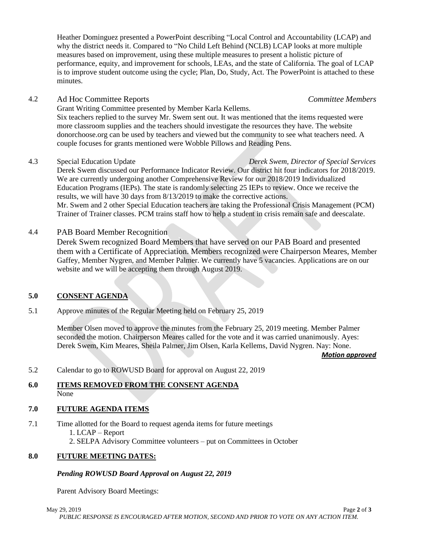May 29, 2019 Page **2** of **3** *PUBLIC RESPONSE IS ENCOURAGED AFTER MOTION, SECOND AND PRIOR TO VOTE ON ANY ACTION ITEM.*

# is to improve student outcome using the cycle; Plan, Do, Study, Act. The PowerPoint is attached to these

Heather Dominguez presented a PowerPoint describing "Local Control and Accountability (LCAP) and why the district needs it. Compared to "No Child Left Behind (NCLB) LCAP looks at more multiple measures based on improvement, using these multiple measures to present a holistic picture of

performance, equity, and improvement for schools, LEAs, and the state of California. The goal of LCAP

# 4.2 Ad Hoc Committee Reports *Committee Members*

minutes.

Grant Writing Committee presented by Member Karla Kellems.

Six teachers replied to the survey Mr. Swem sent out. It was mentioned that the items requested were more classroom supplies and the teachers should investigate the resources they have. The website donorchoose.org can be used by teachers and viewed but the community to see what teachers need. A couple focuses for grants mentioned were Wobble Pillows and Reading Pens.

4.3 Special Education Update *Derek Swem, Director of Special Services*

Derek Swem discussed our Performance Indicator Review. Our district hit four indicators for 2018/2019. We are currently undergoing another Comprehensive Review for our 2018/2019 Individualized Education Programs (IEPs). The state is randomly selecting 25 IEPs to review. Once we receive the results, we will have 30 days from 8/13/2019 to make the corrective actions. Mr. Swem and 2 other Special Education teachers are taking the Professional Crisis Management (PCM) Trainer of Trainer classes. PCM trains staff how to help a student in crisis remain safe and deescalate.

# 4.4 PAB Board Member Recognition

Derek Swem recognized Board Members that have served on our PAB Board and presented them with a Certificate of Appreciation. Members recognized were Chairperson Meares, Member Gaffey, Member Nygren, and Member Palmer. We currently have 5 vacancies. Applications are on our website and we will be accepting them through August 2019.

# **5.0 CONSENT AGENDA**

5.1 Approve minutes of the Regular Meeting held on February 25, 2019

Member Olsen moved to approve the minutes from the February 25, 2019 meeting. Member Palmer seconded the motion. Chairperson Meares called for the vote and it was carried unanimously. Ayes: Derek Swem, Kim Meares, Sheila Palmer, Jim Olsen, Karla Kellems, David Nygren. Nay: None.

*Motion approved* 

5.2 Calendar to go to ROWUSD Board for approval on August 22, 2019

# **6.0 ITEMS REMOVED FROM THE CONSENT AGENDA** None

# **7.0 FUTURE AGENDA ITEMS**

7.1 Time allotted for the Board to request agenda items for future meetings 1. LCAP – Report 2. SELPA Advisory Committee volunteers – put on Committees in October

# **8.0 FUTURE MEETING DATES:**

# *Pending ROWUSD Board Approval on August 22, 2019*

Parent Advisory Board Meetings: